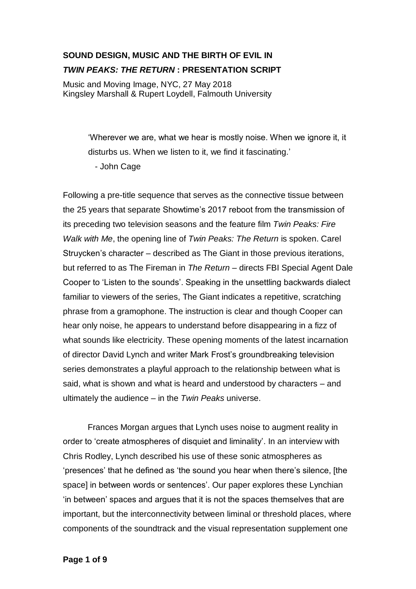## **SOUND DESIGN, MUSIC AND THE BIRTH OF EVIL IN**  *TWIN PEAKS: THE RETURN* **: PRESENTATION SCRIPT**

Music and Moving Image, NYC, 27 May 2018 Kingsley Marshall & Rupert Loydell, Falmouth University

> 'Wherever we are, what we hear is mostly noise. When we ignore it, it disturbs us. When we listen to it, we find it fascinating.' - John Cage

Following a pre-title sequence that serves as the connective tissue between the 25 years that separate Showtime's 2017 reboot from the transmission of its preceding two television seasons and the feature film *Twin Peaks: Fire Walk with Me*, the opening line of *Twin Peaks: The Return* is spoken. Carel Struycken's character – described as The Giant in those previous iterations, but referred to as The Fireman in *The Return* – directs FBI Special Agent Dale Cooper to 'Listen to the sounds'. Speaking in the unsettling backwards dialect familiar to viewers of the series, The Giant indicates a repetitive, scratching phrase from a gramophone. The instruction is clear and though Cooper can hear only noise, he appears to understand before disappearing in a fizz of what sounds like electricity. These opening moments of the latest incarnation of director David Lynch and writer Mark Frost's groundbreaking television series demonstrates a playful approach to the relationship between what is said, what is shown and what is heard and understood by characters – and ultimately the audience – in the *Twin Peaks* universe.

Frances Morgan argues that Lynch uses noise to augment reality in order to 'create atmospheres of disquiet and liminality'. In an interview with Chris Rodley, Lynch described his use of these sonic atmospheres as 'presences' that he defined as 'the sound you hear when there's silence, [the space] in between words or sentences'. Our paper explores these Lynchian 'in between' spaces and argues that it is not the spaces themselves that are important, but the interconnectivity between liminal or threshold places, where components of the soundtrack and the visual representation supplement one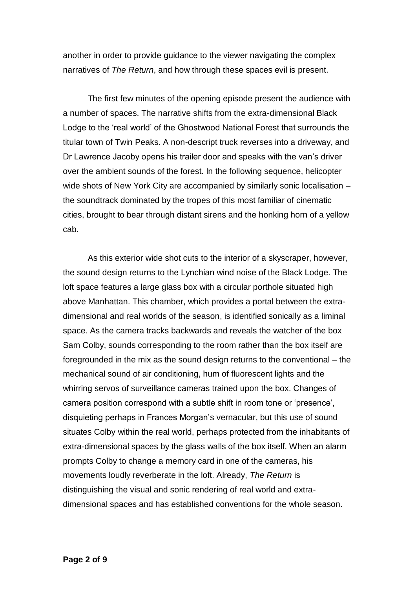another in order to provide guidance to the viewer navigating the complex narratives of *The Return*, and how through these spaces evil is present.

The first few minutes of the opening episode present the audience with a number of spaces. The narrative shifts from the extra-dimensional Black Lodge to the 'real world' of the Ghostwood National Forest that surrounds the titular town of Twin Peaks. A non-descript truck reverses into a driveway, and Dr Lawrence Jacoby opens his trailer door and speaks with the van's driver over the ambient sounds of the forest. In the following sequence, helicopter wide shots of New York City are accompanied by similarly sonic localisation – the soundtrack dominated by the tropes of this most familiar of cinematic cities, brought to bear through distant sirens and the honking horn of a yellow cab.

As this exterior wide shot cuts to the interior of a skyscraper, however, the sound design returns to the Lynchian wind noise of the Black Lodge. The loft space features a large glass box with a circular porthole situated high above Manhattan. This chamber, which provides a portal between the extradimensional and real worlds of the season, is identified sonically as a liminal space. As the camera tracks backwards and reveals the watcher of the box Sam Colby, sounds corresponding to the room rather than the box itself are foregrounded in the mix as the sound design returns to the conventional – the mechanical sound of air conditioning, hum of fluorescent lights and the whirring servos of surveillance cameras trained upon the box. Changes of camera position correspond with a subtle shift in room tone or 'presence', disquieting perhaps in Frances Morgan's vernacular, but this use of sound situates Colby within the real world, perhaps protected from the inhabitants of extra-dimensional spaces by the glass walls of the box itself. When an alarm prompts Colby to change a memory card in one of the cameras, his movements loudly reverberate in the loft. Already, *The Return* is distinguishing the visual and sonic rendering of real world and extradimensional spaces and has established conventions for the whole season.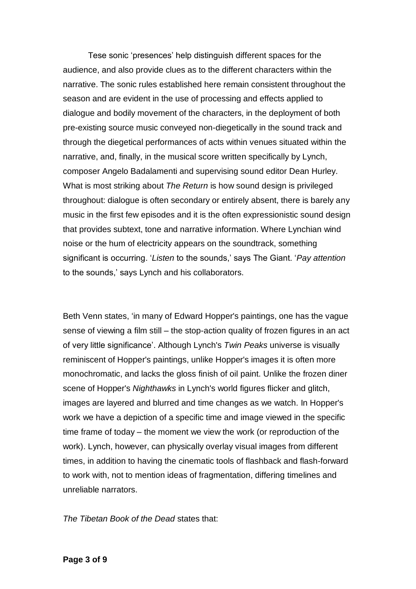Tese sonic 'presences' help distinguish different spaces for the audience, and also provide clues as to the different characters within the narrative. The sonic rules established here remain consistent throughout the season and are evident in the use of processing and effects applied to dialogue and bodily movement of the characters, in the deployment of both pre-existing source music conveyed non-diegetically in the sound track and through the diegetical performances of acts within venues situated within the narrative, and, finally, in the musical score written specifically by Lynch, composer Angelo Badalamenti and supervising sound editor Dean Hurley. What is most striking about *The Return* is how sound design is privileged throughout: dialogue is often secondary or entirely absent, there is barely any music in the first few episodes and it is the often expressionistic sound design that provides subtext, tone and narrative information. Where Lynchian wind noise or the hum of electricity appears on the soundtrack, something significant is occurring. '*Listen* to the sounds,' says The Giant. '*Pay attention* to the sounds,' says Lynch and his collaborators.

Beth Venn states, 'in many of Edward Hopper's paintings, one has the vague sense of viewing a film still – the stop-action quality of frozen figures in an act of very little significance'. Although Lynch's *Twin Peaks* universe is visually reminiscent of Hopper's paintings, unlike Hopper's images it is often more monochromatic, and lacks the gloss finish of oil paint. Unlike the frozen diner scene of Hopper's *Nighthawks* in Lynch's world figures flicker and glitch, images are layered and blurred and time changes as we watch. In Hopper's work we have a depiction of a specific time and image viewed in the specific time frame of today – the moment we view the work (or reproduction of the work). Lynch, however, can physically overlay visual images from different times, in addition to having the cinematic tools of flashback and flash-forward to work with, not to mention ideas of fragmentation, differing timelines and unreliable narrators.

*The Tibetan Book of the Dead* states that: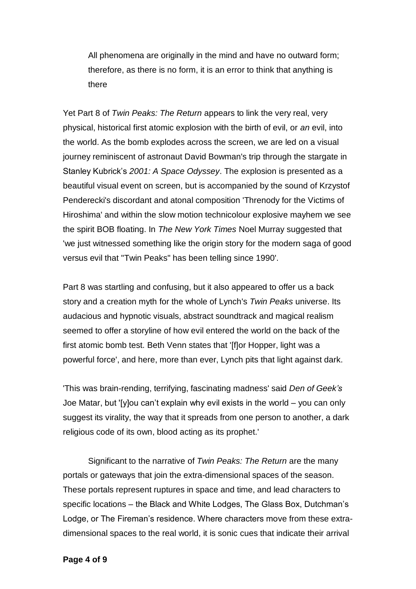All phenomena are originally in the mind and have no outward form; therefore, as there is no form, it is an error to think that anything is there

Yet Part 8 of *Twin Peaks: The Return* appears to link the very real, very physical, historical first atomic explosion with the birth of evil, or *an* evil, into the world. As the bomb explodes across the screen, we are led on a visual journey reminiscent of astronaut David Bowman's trip through the stargate in Stanley Kubrick's *2001: A Space Odyssey*. The explosion is presented as a beautiful visual event on screen, but is accompanied by the sound of Krzystof Penderecki's discordant and atonal composition 'Threnody for the Victims of Hiroshima' and within the slow motion technicolour explosive mayhem we see the spirit BOB floating. In *The New York Times* Noel Murray suggested that 'we just witnessed something like the origin story for the modern saga of good versus evil that "Twin Peaks" has been telling since 1990'.

Part 8 was startling and confusing, but it also appeared to offer us a back story and a creation myth for the whole of Lynch's *Twin Peaks* universe. Its audacious and hypnotic visuals, abstract soundtrack and magical realism seemed to offer a storyline of how evil entered the world on the back of the first atomic bomb test. Beth Venn states that '[f]or Hopper, light was a powerful force', and here, more than ever, Lynch pits that light against dark.

'This was brain-rending, terrifying, fascinating madness' said *Den of Geek's*  Joe Matar, but '[y]ou can't explain why evil exists in the world – you can only suggest its virality, the way that it spreads from one person to another, a dark religious code of its own, blood acting as its prophet.'

Significant to the narrative of *Twin Peaks: The Return* are the many portals or gateways that join the extra-dimensional spaces of the season. These portals represent ruptures in space and time, and lead characters to specific locations – the Black and White Lodges, The Glass Box, Dutchman's Lodge, or The Fireman's residence. Where characters move from these extradimensional spaces to the real world, it is sonic cues that indicate their arrival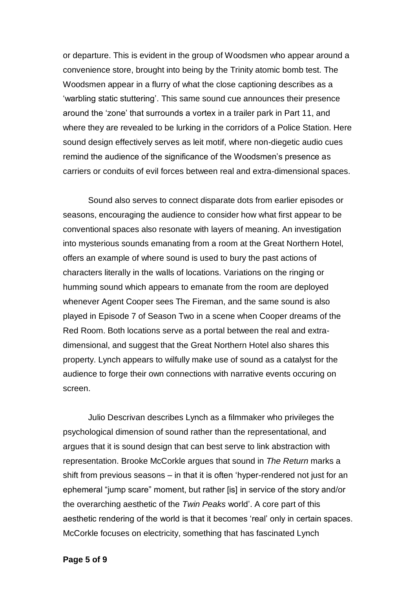or departure. This is evident in the group of Woodsmen who appear around a convenience store, brought into being by the Trinity atomic bomb test. The Woodsmen appear in a flurry of what the close captioning describes as a 'warbling static stuttering'. This same sound cue announces their presence around the 'zone' that surrounds a vortex in a trailer park in Part 11, and where they are revealed to be lurking in the corridors of a Police Station. Here sound design effectively serves as leit motif, where non-diegetic audio cues remind the audience of the significance of the Woodsmen's presence as carriers or conduits of evil forces between real and extra-dimensional spaces.

Sound also serves to connect disparate dots from earlier episodes or seasons, encouraging the audience to consider how what first appear to be conventional spaces also resonate with layers of meaning. An investigation into mysterious sounds emanating from a room at the Great Northern Hotel, offers an example of where sound is used to bury the past actions of characters literally in the walls of locations. Variations on the ringing or humming sound which appears to emanate from the room are deployed whenever Agent Cooper sees The Fireman, and the same sound is also played in Episode 7 of Season Two in a scene when Cooper dreams of the Red Room. Both locations serve as a portal between the real and extradimensional, and suggest that the Great Northern Hotel also shares this property. Lynch appears to wilfully make use of sound as a catalyst for the audience to forge their own connections with narrative events occuring on screen.

Julio Descrivan describes Lynch as a filmmaker who privileges the psychological dimension of sound rather than the representational, and argues that it is sound design that can best serve to link abstraction with representation. Brooke McCorkle argues that sound in *The Return* marks a shift from previous seasons – in that it is often 'hyper-rendered not just for an ephemeral "jump scare" moment, but rather [is] in service of the story and/or the overarching aesthetic of the *Twin Peaks* world'. A core part of this aesthetic rendering of the world is that it becomes 'real' only in certain spaces. McCorkle focuses on electricity, something that has fascinated Lynch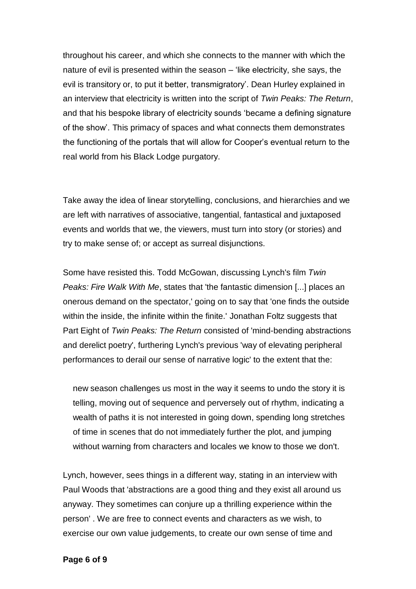throughout his career, and which she connects to the manner with which the nature of evil is presented within the season – 'like electricity, she says, the evil is transitory or, to put it better, transmigratory'. Dean Hurley explained in an interview that electricity is written into the script of *Twin Peaks: The Return*, and that his bespoke library of electricity sounds 'became a defining signature of the show'. This primacy of spaces and what connects them demonstrates the functioning of the portals that will allow for Cooper's eventual return to the real world from his Black Lodge purgatory.

Take away the idea of linear storytelling, conclusions, and hierarchies and we are left with narratives of associative, tangential, fantastical and juxtaposed events and worlds that we, the viewers, must turn into story (or stories) and try to make sense of; or accept as surreal disjunctions.

Some have resisted this. Todd McGowan, discussing Lynch's film *Twin Peaks: Fire Walk With Me*, states that 'the fantastic dimension [...] places an onerous demand on the spectator,' going on to say that 'one finds the outside within the inside, the infinite within the finite.' Jonathan Foltz suggests that Part Eight of *Twin Peaks: The Return* consisted of 'mind-bending abstractions and derelict poetry', furthering Lynch's previous 'way of elevating peripheral performances to derail our sense of narrative logic' to the extent that the:

new season challenges us most in the way it seems to undo the story it is telling, moving out of sequence and perversely out of rhythm, indicating a wealth of paths it is not interested in going down, spending long stretches of time in scenes that do not immediately further the plot, and jumping without warning from characters and locales we know to those we don't.

Lynch, however, sees things in a different way, stating in an interview with Paul Woods that 'abstractions are a good thing and they exist all around us anyway. They sometimes can conjure up a thrilling experience within the person' . We are free to connect events and characters as we wish, to exercise our own value judgements, to create our own sense of time and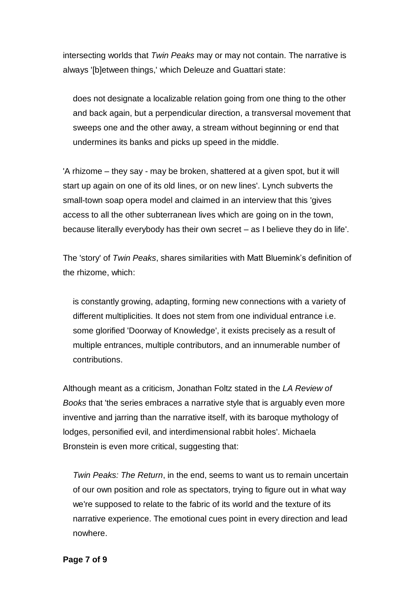intersecting worlds that *Twin Peaks* may or may not contain. The narrative is always '[b]etween things,' which Deleuze and Guattari state:

does not designate a localizable relation going from one thing to the other and back again, but a perpendicular direction, a transversal movement that sweeps one and the other away, a stream without beginning or end that undermines its banks and picks up speed in the middle.

'A rhizome – they say - may be broken, shattered at a given spot, but it will start up again on one of its old lines, or on new lines'. Lynch subverts the small-town soap opera model and claimed in an interview that this 'gives access to all the other subterranean lives which are going on in the town, because literally everybody has their own secret – as I believe they do in life'.

The 'story' of *Twin Peaks*, shares similarities with Matt Bluemink's definition of the rhizome, which:

is constantly growing, adapting, forming new connections with a variety of different multiplicities. It does not stem from one individual entrance i.e. some glorified 'Doorway of Knowledge', it exists precisely as a result of multiple entrances, multiple contributors, and an innumerable number of contributions.

Although meant as a criticism, Jonathan Foltz stated in the *LA Review of Books* that 'the series embraces a narrative style that is arguably even more inventive and jarring than the narrative itself, with its baroque mythology of lodges, personified evil, and interdimensional rabbit holes'. Michaela Bronstein is even more critical, suggesting that:

*Twin Peaks: The Return*, in the end, seems to want us to remain uncertain of our own position and role as spectators, trying to figure out in what way we're supposed to relate to the fabric of its world and the texture of its narrative experience. The emotional cues point in every direction and lead nowhere.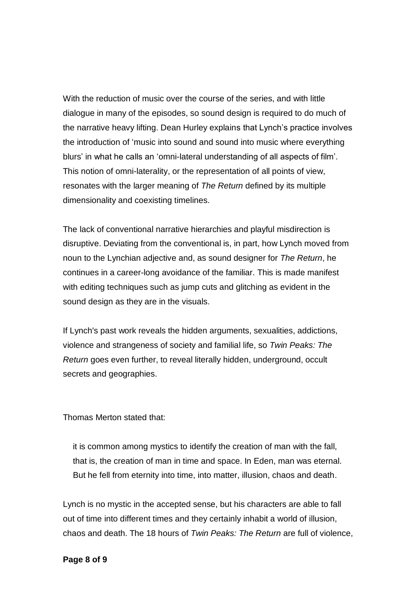With the reduction of music over the course of the series, and with little dialogue in many of the episodes, so sound design is required to do much of the narrative heavy lifting. Dean Hurley explains that Lynch's practice involves the introduction of 'music into sound and sound into music where everything blurs' in what he calls an 'omni-lateral understanding of all aspects of film'. This notion of omni-laterality, or the representation of all points of view, resonates with the larger meaning of *The Return* defined by its multiple dimensionality and coexisting timelines.

The lack of conventional narrative hierarchies and playful misdirection is disruptive. Deviating from the conventional is, in part, how Lynch moved from noun to the Lynchian adjective and, as sound designer for *The Return*, he continues in a career-long avoidance of the familiar. This is made manifest with editing techniques such as jump cuts and glitching as evident in the sound design as they are in the visuals.

If Lynch's past work reveals the hidden arguments, sexualities, addictions, violence and strangeness of society and familial life, so *Twin Peaks: The Return* goes even further, to reveal literally hidden, underground, occult secrets and geographies.

Thomas Merton stated that:

it is common among mystics to identify the creation of man with the fall, that is, the creation of man in time and space. In Eden, man was eternal. But he fell from eternity into time, into matter, illusion, chaos and death.

Lynch is no mystic in the accepted sense, but his characters are able to fall out of time into different times and they certainly inhabit a world of illusion, chaos and death. The 18 hours of *Twin Peaks: The Return* are full of violence,